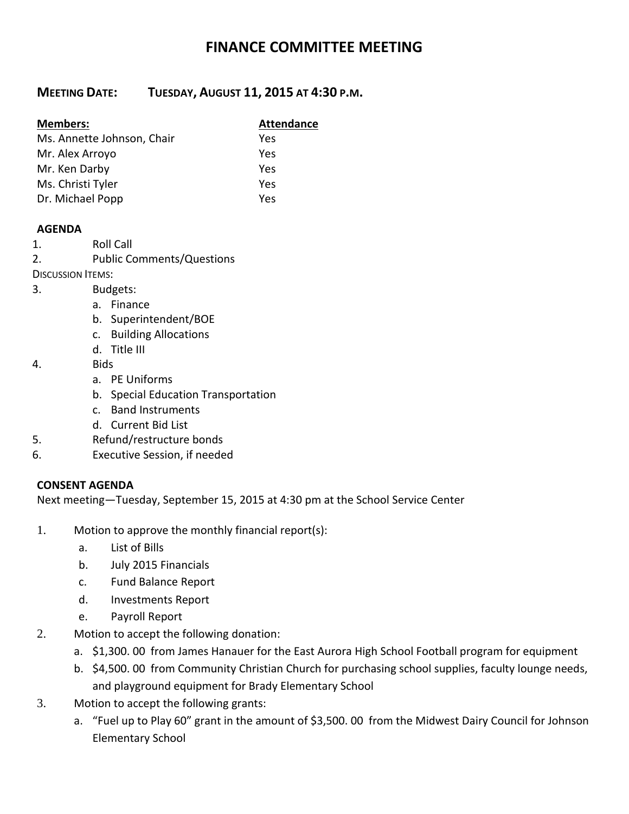# **FINANCE COMMITTEE MEETING**

# **MEETING DATE: TUESDAY, AUGUST 11, 2015 AT 4:30 P.M.**

| <b>Members:</b>            | <b>Attendance</b> |
|----------------------------|-------------------|
| Ms. Annette Johnson, Chair | Yes               |
| Mr. Alex Arroyo            | Yes               |
| Mr. Ken Darby              | Yes               |
| Ms. Christi Tyler          | Yes               |
| Dr. Michael Popp           | Yes               |

#### **AGENDA**

- 1. Roll Call
- 2. Public Comments/Questions
- DISCUSSION ITEMS:
- 3. Budgets:
	- a. Finance
	- b. Superintendent/BOE
	- c. Building Allocations
	- d. Title III
- 4. Bids
	- a. PE Uniforms
	- b. Special Education Transportation
	- c. Band Instruments
	- d. Current Bid List
- 5. Refund/restructure bonds
- 6. Executive Session, if needed

#### **CONSENT AGENDA**

Next meeting—Tuesday, September 15, 2015 at 4:30 pm at the School Service Center

- 1. Motion to approve the monthly financial report(s):
	- a. List of Bills
	- b. July 2015 Financials
	- c. Fund Balance Report
	- d. Investments Report
	- e. Payroll Report
- 2. Motion to accept the following donation:
	- a. \$1,300. 00 from James Hanauer for the East Aurora High School Football program for equipment
	- b. \$4,500. 00 from Community Christian Church for purchasing school supplies, faculty lounge needs, and playground equipment for Brady Elementary School
- 3. Motion to accept the following grants:
	- a. "Fuel up to Play 60" grant in the amount of \$3,500. 00 from the Midwest Dairy Council for Johnson Elementary School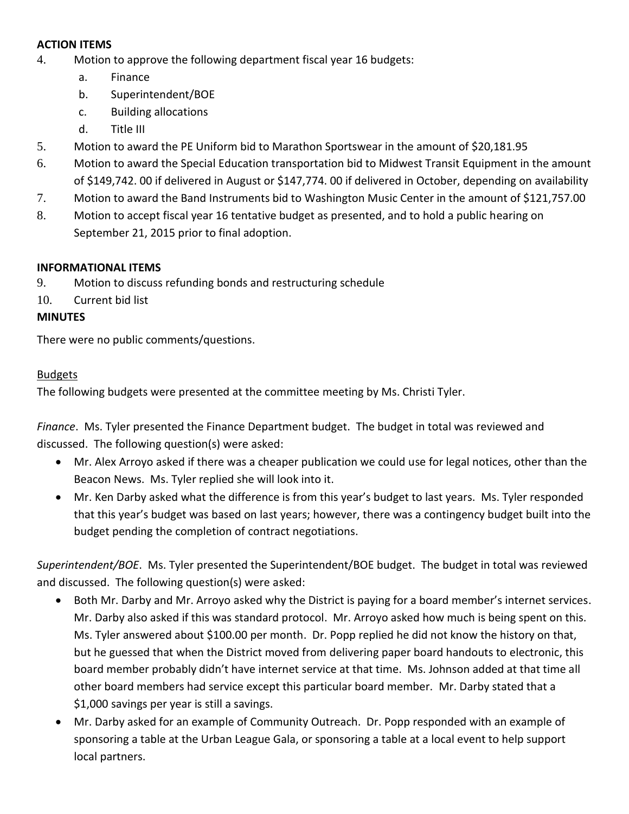## **ACTION ITEMS**

- 4. Motion to approve the following department fiscal year 16 budgets:
	- a. Finance
	- b. Superintendent/BOE
	- c. Building allocations
	- d. Title III
- 5. Motion to award the PE Uniform bid to Marathon Sportswear in the amount of \$20,181.95
- 6. Motion to award the Special Education transportation bid to Midwest Transit Equipment in the amount of \$149,742. 00 if delivered in August or \$147,774. 00 if delivered in October, depending on availability
- 7. Motion to award the Band Instruments bid to Washington Music Center in the amount of \$121,757.00
- 8. Motion to accept fiscal year 16 tentative budget as presented, and to hold a public hearing on September 21, 2015 prior to final adoption.

#### **INFORMATIONAL ITEMS**

- 9. Motion to discuss refunding bonds and restructuring schedule
- 10. Current bid list

#### **MINUTES**

There were no public comments/questions.

#### Budgets

The following budgets were presented at the committee meeting by Ms. Christi Tyler.

*Finance*. Ms. Tyler presented the Finance Department budget. The budget in total was reviewed and discussed. The following question(s) were asked:

- Mr. Alex Arroyo asked if there was a cheaper publication we could use for legal notices, other than the Beacon News. Ms. Tyler replied she will look into it.
- Mr. Ken Darby asked what the difference is from this year's budget to last years. Ms. Tyler responded that this year's budget was based on last years; however, there was a contingency budget built into the budget pending the completion of contract negotiations.

*Superintendent/BOE*. Ms. Tyler presented the Superintendent/BOE budget. The budget in total was reviewed and discussed. The following question(s) were asked:

- Both Mr. Darby and Mr. Arroyo asked why the District is paying for a board member's internet services. Mr. Darby also asked if this was standard protocol. Mr. Arroyo asked how much is being spent on this. Ms. Tyler answered about \$100.00 per month. Dr. Popp replied he did not know the history on that, but he guessed that when the District moved from delivering paper board handouts to electronic, this board member probably didn't have internet service at that time. Ms. Johnson added at that time all other board members had service except this particular board member. Mr. Darby stated that a \$1,000 savings per year is still a savings.
- Mr. Darby asked for an example of Community Outreach. Dr. Popp responded with an example of sponsoring a table at the Urban League Gala, or sponsoring a table at a local event to help support local partners.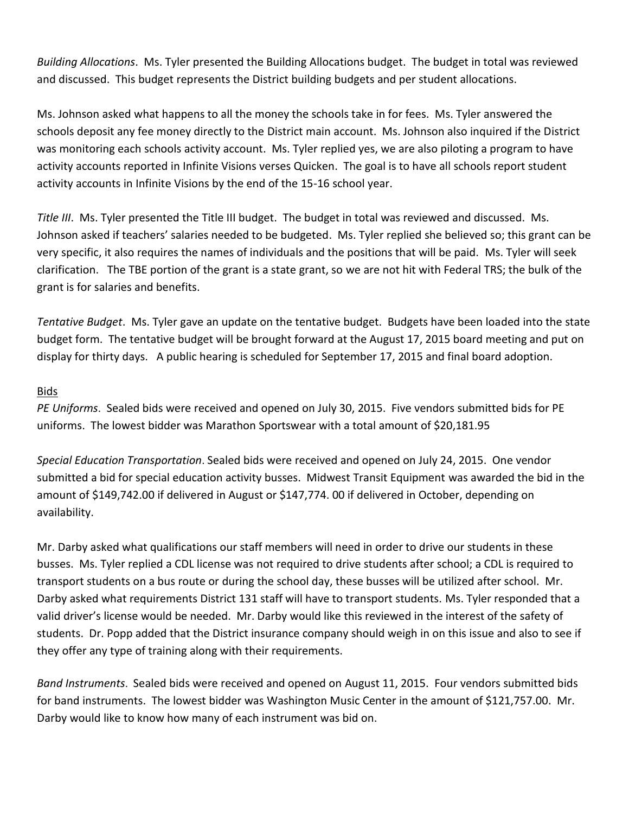*Building Allocations*. Ms. Tyler presented the Building Allocations budget. The budget in total was reviewed and discussed. This budget represents the District building budgets and per student allocations.

Ms. Johnson asked what happens to all the money the schools take in for fees. Ms. Tyler answered the schools deposit any fee money directly to the District main account. Ms. Johnson also inquired if the District was monitoring each schools activity account. Ms. Tyler replied yes, we are also piloting a program to have activity accounts reported in Infinite Visions verses Quicken. The goal is to have all schools report student activity accounts in Infinite Visions by the end of the 15-16 school year.

*Title III*. Ms. Tyler presented the Title III budget. The budget in total was reviewed and discussed. Ms. Johnson asked if teachers' salaries needed to be budgeted. Ms. Tyler replied she believed so; this grant can be very specific, it also requires the names of individuals and the positions that will be paid. Ms. Tyler will seek clarification. The TBE portion of the grant is a state grant, so we are not hit with Federal TRS; the bulk of the grant is for salaries and benefits.

*Tentative Budget*. Ms. Tyler gave an update on the tentative budget. Budgets have been loaded into the state budget form. The tentative budget will be brought forward at the August 17, 2015 board meeting and put on display for thirty days. A public hearing is scheduled for September 17, 2015 and final board adoption.

#### Bids

*PE Uniforms*. Sealed bids were received and opened on July 30, 2015. Five vendors submitted bids for PE uniforms. The lowest bidder was Marathon Sportswear with a total amount of \$20,181.95

*Special Education Transportation*. Sealed bids were received and opened on July 24, 2015. One vendor submitted a bid for special education activity busses. Midwest Transit Equipment was awarded the bid in the amount of \$149,742.00 if delivered in August or \$147,774. 00 if delivered in October, depending on availability.

Mr. Darby asked what qualifications our staff members will need in order to drive our students in these busses. Ms. Tyler replied a CDL license was not required to drive students after school; a CDL is required to transport students on a bus route or during the school day, these busses will be utilized after school. Mr. Darby asked what requirements District 131 staff will have to transport students. Ms. Tyler responded that a valid driver's license would be needed. Mr. Darby would like this reviewed in the interest of the safety of students. Dr. Popp added that the District insurance company should weigh in on this issue and also to see if they offer any type of training along with their requirements.

*Band Instruments*. Sealed bids were received and opened on August 11, 2015. Four vendors submitted bids for band instruments. The lowest bidder was Washington Music Center in the amount of \$121,757.00. Mr. Darby would like to know how many of each instrument was bid on.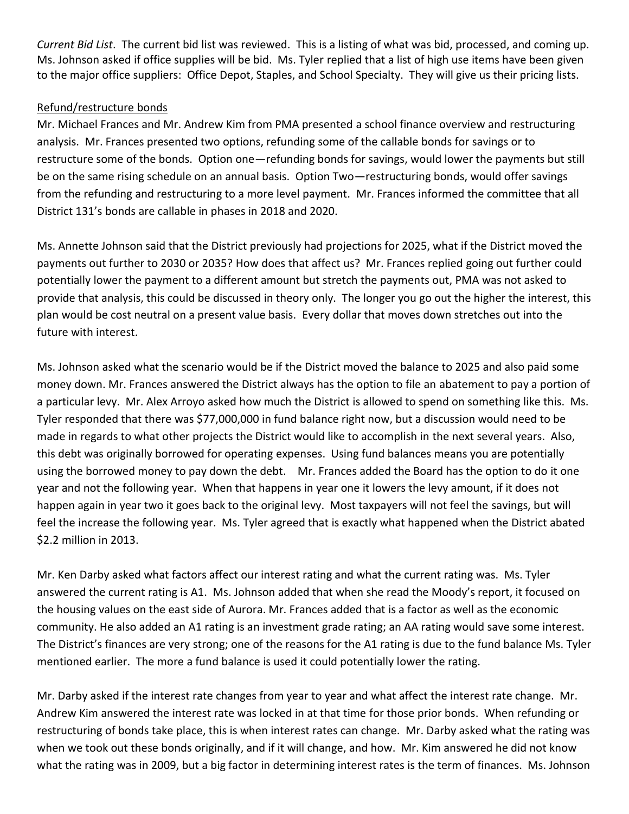*Current Bid List*. The current bid list was reviewed. This is a listing of what was bid, processed, and coming up. Ms. Johnson asked if office supplies will be bid. Ms. Tyler replied that a list of high use items have been given to the major office suppliers: Office Depot, Staples, and School Specialty. They will give us their pricing lists.

## Refund/restructure bonds

Mr. Michael Frances and Mr. Andrew Kim from PMA presented a school finance overview and restructuring analysis. Mr. Frances presented two options, refunding some of the callable bonds for savings or to restructure some of the bonds. Option one—refunding bonds for savings, would lower the payments but still be on the same rising schedule on an annual basis. Option Two—restructuring bonds, would offer savings from the refunding and restructuring to a more level payment. Mr. Frances informed the committee that all District 131's bonds are callable in phases in 2018 and 2020.

Ms. Annette Johnson said that the District previously had projections for 2025, what if the District moved the payments out further to 2030 or 2035? How does that affect us? Mr. Frances replied going out further could potentially lower the payment to a different amount but stretch the payments out, PMA was not asked to provide that analysis, this could be discussed in theory only. The longer you go out the higher the interest, this plan would be cost neutral on a present value basis. Every dollar that moves down stretches out into the future with interest.

Ms. Johnson asked what the scenario would be if the District moved the balance to 2025 and also paid some money down. Mr. Frances answered the District always has the option to file an abatement to pay a portion of a particular levy. Mr. Alex Arroyo asked how much the District is allowed to spend on something like this. Ms. Tyler responded that there was \$77,000,000 in fund balance right now, but a discussion would need to be made in regards to what other projects the District would like to accomplish in the next several years. Also, this debt was originally borrowed for operating expenses. Using fund balances means you are potentially using the borrowed money to pay down the debt. Mr. Frances added the Board has the option to do it one year and not the following year. When that happens in year one it lowers the levy amount, if it does not happen again in year two it goes back to the original levy. Most taxpayers will not feel the savings, but will feel the increase the following year. Ms. Tyler agreed that is exactly what happened when the District abated \$2.2 million in 2013.

Mr. Ken Darby asked what factors affect our interest rating and what the current rating was. Ms. Tyler answered the current rating is A1. Ms. Johnson added that when she read the Moody's report, it focused on the housing values on the east side of Aurora. Mr. Frances added that is a factor as well as the economic community. He also added an A1 rating is an investment grade rating; an AA rating would save some interest. The District's finances are very strong; one of the reasons for the A1 rating is due to the fund balance Ms. Tyler mentioned earlier. The more a fund balance is used it could potentially lower the rating.

Mr. Darby asked if the interest rate changes from year to year and what affect the interest rate change. Mr. Andrew Kim answered the interest rate was locked in at that time for those prior bonds. When refunding or restructuring of bonds take place, this is when interest rates can change. Mr. Darby asked what the rating was when we took out these bonds originally, and if it will change, and how. Mr. Kim answered he did not know what the rating was in 2009, but a big factor in determining interest rates is the term of finances. Ms. Johnson